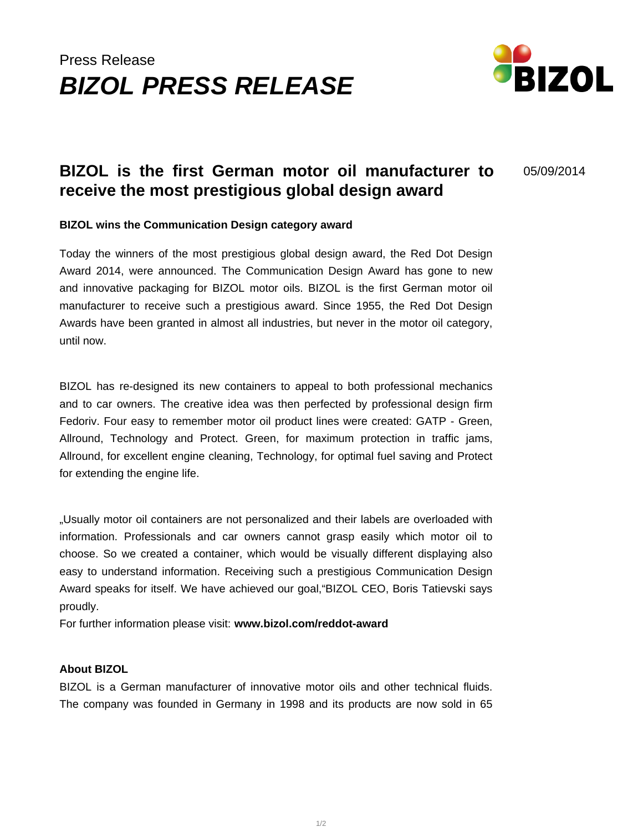# Press Release **BIZOL PRESS RELEASE**



## **BIZOL is the first German motor oil manufacturer to receive the most prestigious global design award**

05/09/2014

#### **BIZOL wins the Communication Design category award**

Today the winners of the most prestigious global design award, the Red Dot Design Award 2014, were announced. The Communication Design Award has gone to new and innovative packaging for BIZOL motor oils. BIZOL is the first German motor oil manufacturer to receive such a prestigious award. Since 1955, the Red Dot Design Awards have been granted in almost all industries, but never in the motor oil category, until now.

BIZOL has re-designed its new containers to appeal to both professional mechanics and to car owners. The creative idea was then perfected by professional design firm Fedoriv. Four easy to remember motor oil product lines were created: GATP - Green, Allround, Technology and Protect. Green, for maximum protection in traffic jams, Allround, for excellent engine cleaning, Technology, for optimal fuel saving and Protect for extending the engine life.

"Usually motor oil containers are not personalized and their labels are overloaded with information. Professionals and car owners cannot grasp easily which motor oil to choose. So we created a container, which would be visually different displaying also easy to understand information. Receiving such a prestigious Communication Design Award speaks for itself. We have achieved our goal,"BIZOL CEO, Boris Tatievski says proudly.

For further information please visit: **www.bizol.com/reddot-award**

#### **About BIZOL**

BIZOL is a German manufacturer of innovative motor oils and other technical fluids. The company was founded in Germany in 1998 and its products are now sold in 65